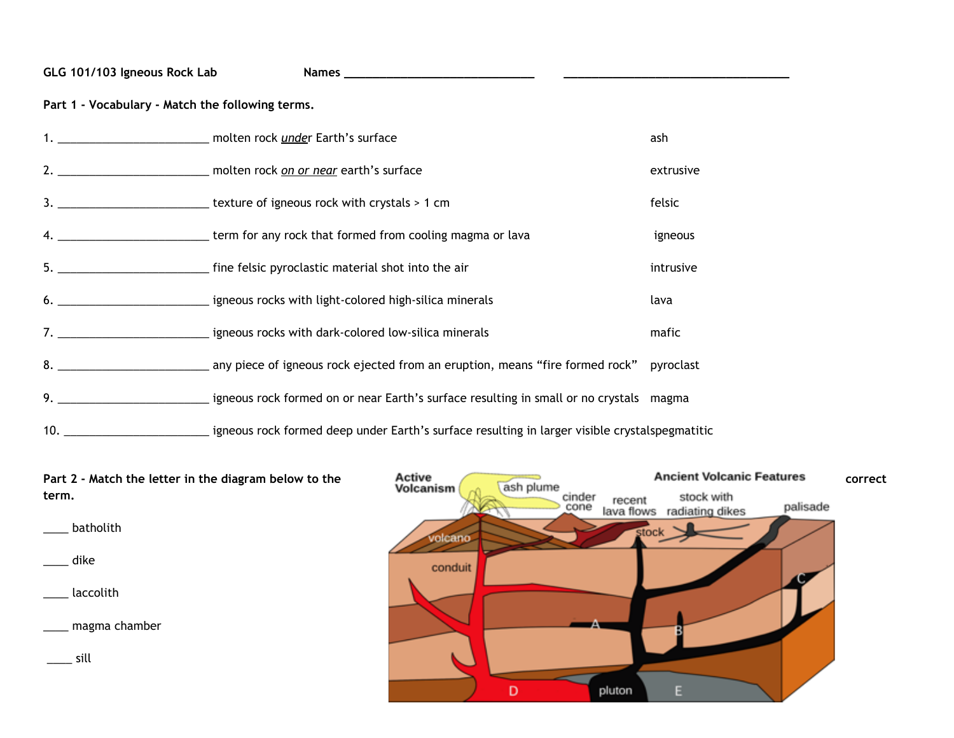## **GLG 101/103 Igneous Rock Lab Names \_\_\_\_\_\_\_\_\_\_\_\_\_\_\_\_\_\_\_\_\_\_\_\_\_\_\_ \_\_\_\_\_\_\_\_\_\_\_\_\_\_\_\_\_\_\_\_\_\_\_\_\_\_\_\_\_\_\_\_**

**Part 1 - Vocabulary - Match the following terms.**

| 1. _____________________________ molten rock under Earth's surface | ash       |
|--------------------------------------------------------------------|-----------|
|                                                                    | extrusive |
|                                                                    | felsic    |
|                                                                    | igneous   |
|                                                                    | intrusive |
|                                                                    | lava      |
|                                                                    | mafic     |
|                                                                    | pyroclast |
|                                                                    |           |
|                                                                    |           |

**Part 2 -** Match the letter in the diagram below to the **Active Active ash plume and the <b>correct correct correct volcanism and the section of the correct correct term.** cinder<br>cone stock with recent stock with<br>lava flows radiating dikes palisade \_\_\_\_ batholith stock volcano \_\_\_\_ dike conduit \_\_\_\_ laccolith \_\_\_\_ magma chamber  $\equiv$  sill D pluton E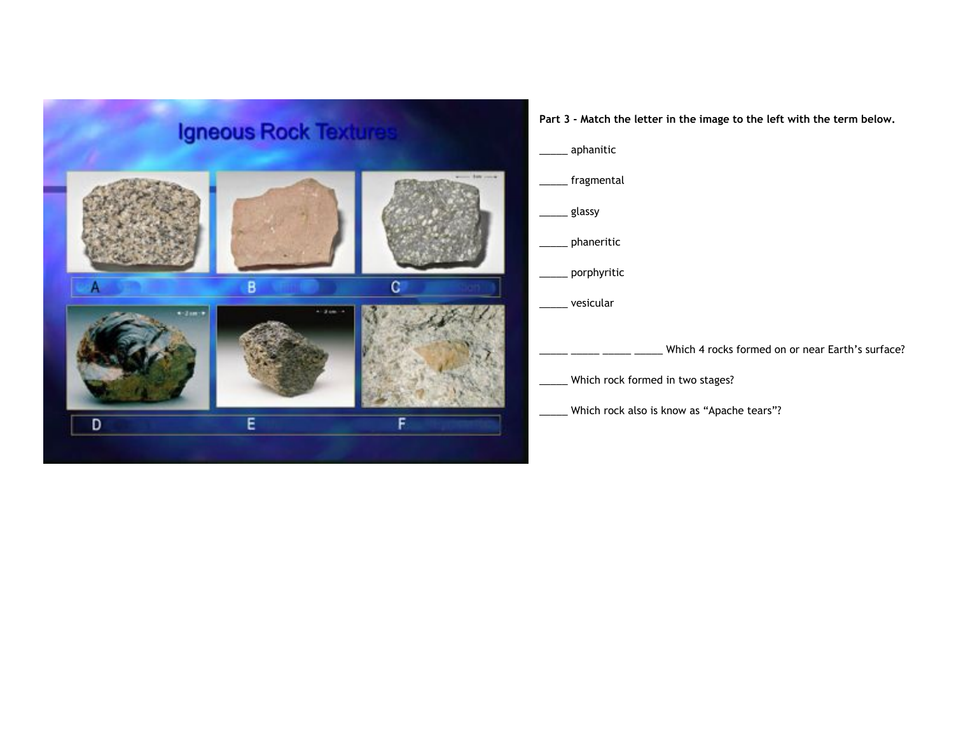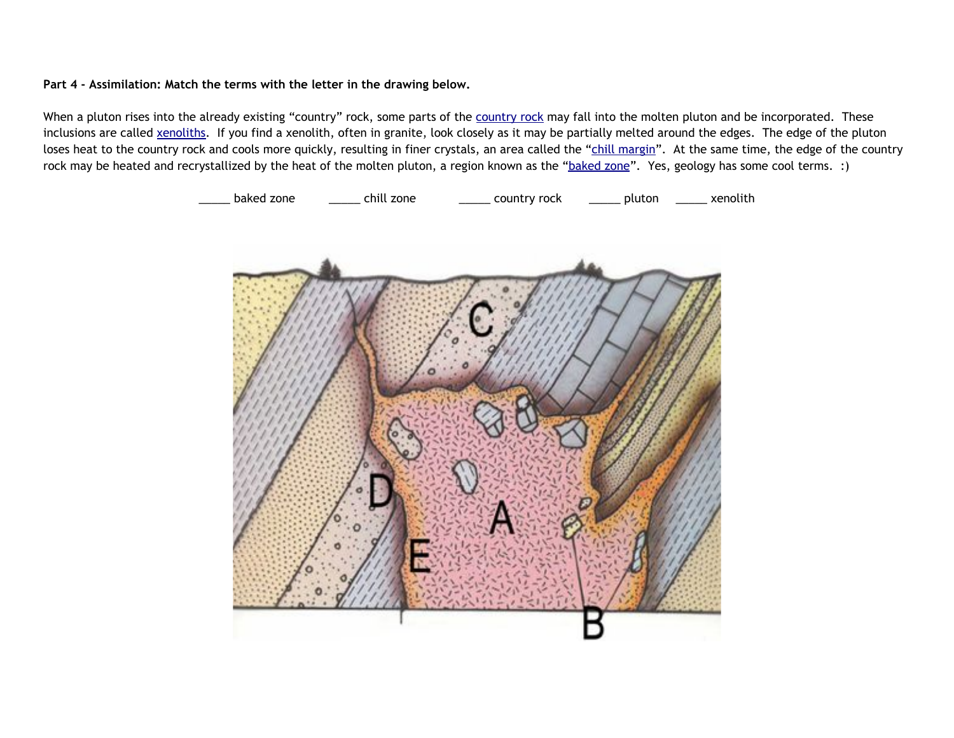## **Part 4 - Assimilation: Match the terms with the letter in the drawing below.**

Wh[e](https://en.wikipedia.org/wiki/Country_rock_(geology))n a pluton rises into the already existing "[country](https://en.wikipedia.org/wiki/Country_rock_(geology))" rock, some parts of the country rock may fall into the molten pluton and be incorporated. These inclusions are called [xenoliths.](https://en.wikipedia.org/wiki/Xenolith#/media/File:XenolithSierra.JPG) If you find a xenolith, often in granite, look closely as it may be partially melted around the edges. The edge of the pluton loses heat to the country rock and cools more quickly, resulting in finer crystals, an area called the "chill [margin](https://en.wikipedia.org/wiki/Chilled_margin)". At the same time, the edge of the country rock may be heated and recrystallized by the heat of the molten pluton, a region known as the ["baked](http://jersey.uoregon.edu/~mstrick/AskGeoMan/geoQuerry37.html) zone". Yes, geology has some cool terms. :)

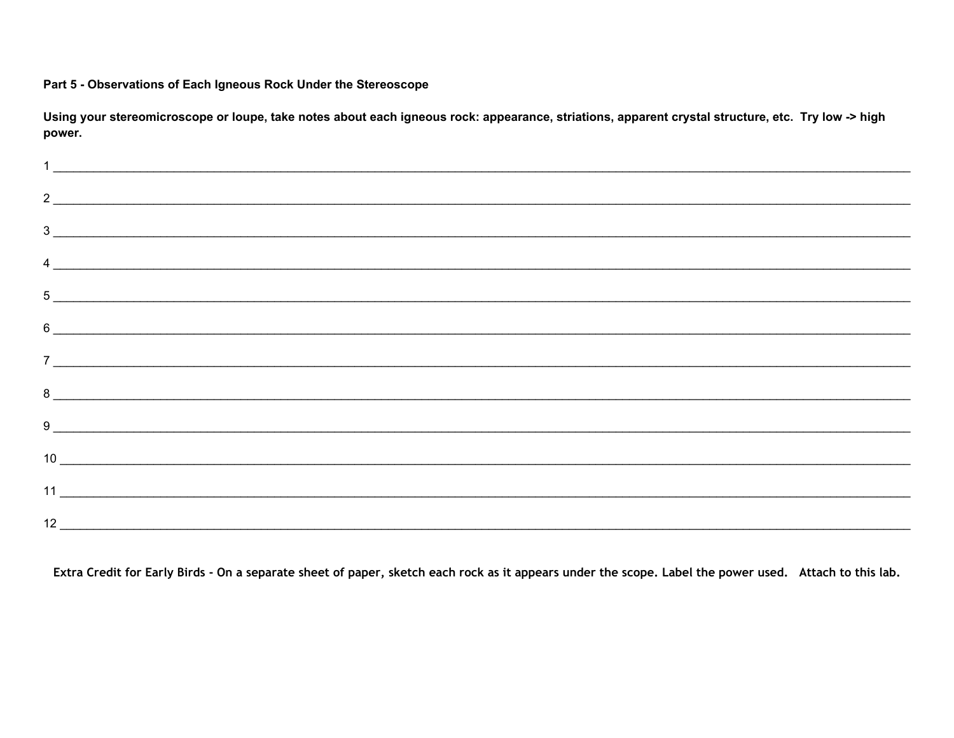## Part 5 - Observations of Each Igneous Rock Under the Stereoscope

Using your stereomicroscope or loupe, take notes about each igneous rock: appearance, striations, apparent crystal structure, etc. Try low -> high power.

| $\frac{1}{2}$ . The contract of the contract of the contract of the contract of the contract of the contract of the contract of the contract of the contract of the contract of the contract of the contract of the contract of t |  |  |  |
|-----------------------------------------------------------------------------------------------------------------------------------------------------------------------------------------------------------------------------------|--|--|--|
|                                                                                                                                                                                                                                   |  |  |  |
| $\frac{1}{2}$                                                                                                                                                                                                                     |  |  |  |
|                                                                                                                                                                                                                                   |  |  |  |
| $\frac{4}{2}$<br>$5$ $\overline{\phantom{a}}$                                                                                                                                                                                     |  |  |  |
|                                                                                                                                                                                                                                   |  |  |  |
|                                                                                                                                                                                                                                   |  |  |  |
|                                                                                                                                                                                                                                   |  |  |  |
|                                                                                                                                                                                                                                   |  |  |  |
|                                                                                                                                                                                                                                   |  |  |  |
| $10$ $\overline{\phantom{a}}$                                                                                                                                                                                                     |  |  |  |
|                                                                                                                                                                                                                                   |  |  |  |
|                                                                                                                                                                                                                                   |  |  |  |

Extra Credit for Early Birds - On a separate sheet of paper, sketch each rock as it appears under the scope. Label the power used. Attach to this lab.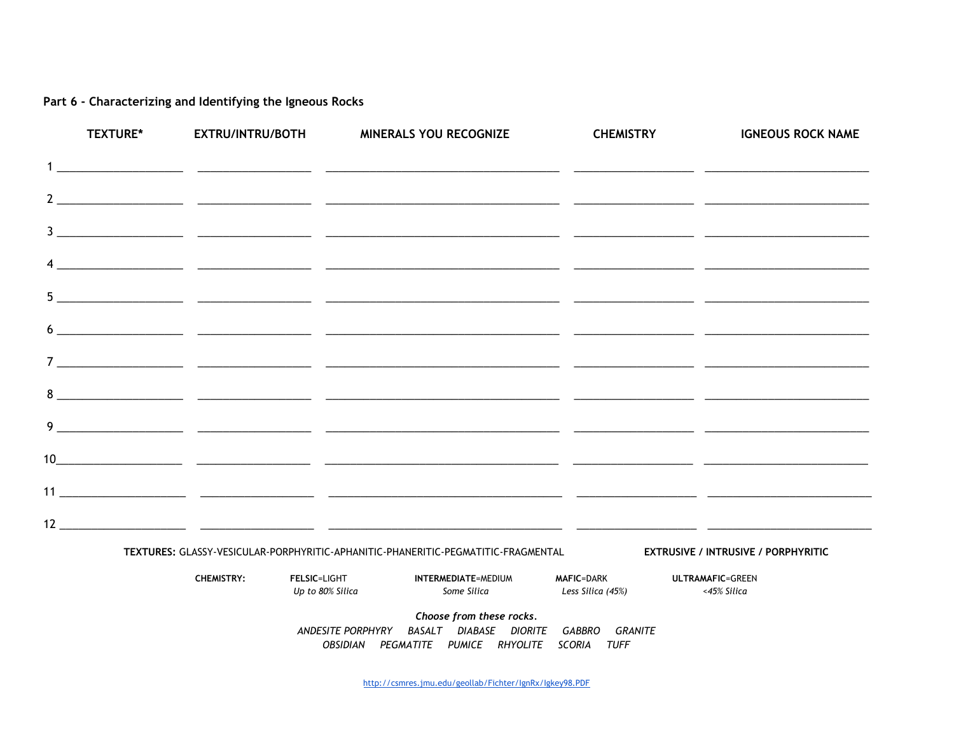## Part 6 - Characterizing and Identifying the Igneous Rocks

|   | <b>TEXTURE*</b> | <b>EXTRU/INTRU/BOTH</b> |                                         | <b>MINERALS YOU RECOGNIZE</b>                                                                                       | <b>CHEMISTRY</b>                       | <b>IGNEOUS ROCK NAME</b>                                                                                             |
|---|-----------------|-------------------------|-----------------------------------------|---------------------------------------------------------------------------------------------------------------------|----------------------------------------|----------------------------------------------------------------------------------------------------------------------|
|   |                 |                         |                                         |                                                                                                                     |                                        |                                                                                                                      |
|   |                 |                         |                                         |                                                                                                                     |                                        |                                                                                                                      |
|   |                 |                         |                                         |                                                                                                                     |                                        |                                                                                                                      |
|   |                 |                         |                                         |                                                                                                                     |                                        |                                                                                                                      |
|   |                 |                         |                                         |                                                                                                                     |                                        |                                                                                                                      |
|   |                 |                         |                                         |                                                                                                                     |                                        |                                                                                                                      |
|   |                 |                         |                                         |                                                                                                                     |                                        |                                                                                                                      |
|   |                 |                         |                                         |                                                                                                                     |                                        | <u> 1989 - Andrea Andrew Maria (h. 1989).</u>                                                                        |
| 9 |                 |                         |                                         |                                                                                                                     |                                        | <u> 1989 - Andrea San Andrea Andrea Andrea Andrea Andrea Andrea Andrea Andrea Andrea Andrea Andrea Andrea Andrea</u> |
|   |                 |                         |                                         |                                                                                                                     |                                        |                                                                                                                      |
|   |                 |                         |                                         |                                                                                                                     |                                        |                                                                                                                      |
|   |                 |                         |                                         |                                                                                                                     |                                        |                                                                                                                      |
|   |                 |                         |                                         | TEXTURES: GLASSY-VESICULAR-PORPHYRITIC-APHANITIC-PHANERITIC-PEGMATITIC-FRAGMENTAL                                   |                                        | <b>EXTRUSIVE / INTRUSIVE / PORPHYRITIC</b>                                                                           |
|   |                 | <b>CHEMISTRY:</b>       | <b>FELSIC=LIGHT</b><br>Up to 80% Silica | INTERMEDIATE=MEDIUM<br>Some Silica                                                                                  | <b>MAFIC=DARK</b><br>Less Silica (45%) | <b>ULTRAMAFIC=GREEN</b><br><45% Silica                                                                               |
|   |                 |                         | ANDESITE PORPHYRY                       | Choose from these rocks.<br>BASALT DIABASE DIORITE GABBRO GRANITE<br>OBSIDIAN PEGMATITE PUMICE RHYOLITE SCORIA TUFF |                                        |                                                                                                                      |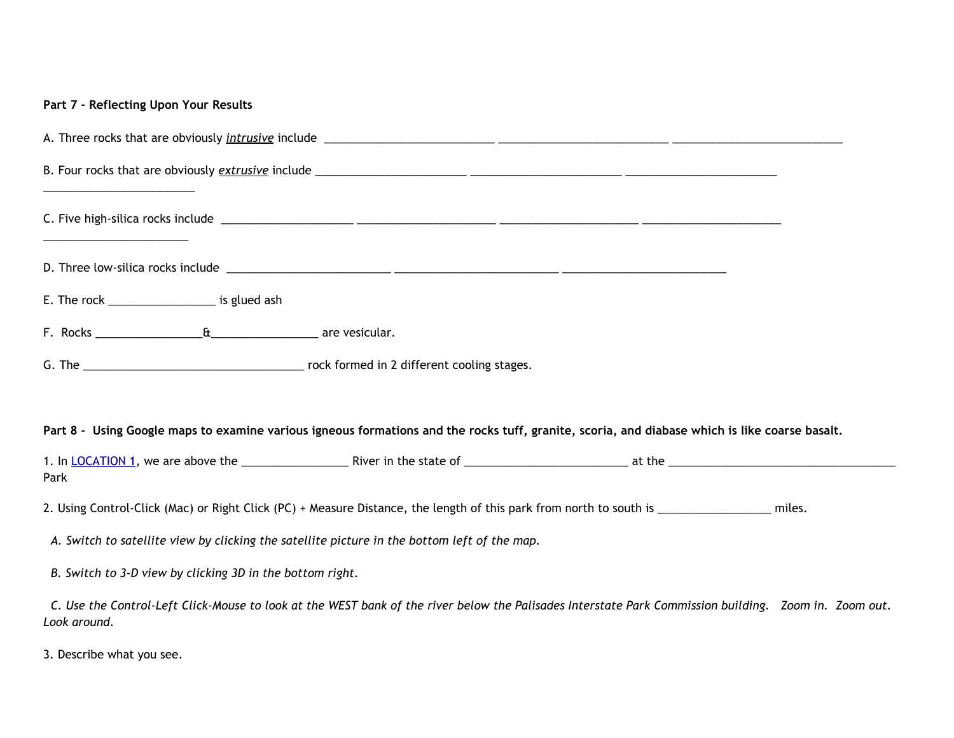| Part 7 - Reflecting Upon Your Results                                                                                                                                 |
|-----------------------------------------------------------------------------------------------------------------------------------------------------------------------|
|                                                                                                                                                                       |
|                                                                                                                                                                       |
|                                                                                                                                                                       |
|                                                                                                                                                                       |
| E. The rock _______________________ is glued ash                                                                                                                      |
|                                                                                                                                                                       |
|                                                                                                                                                                       |
|                                                                                                                                                                       |
| Part 8 - Using Google maps to examine various igneous formations and the rocks tuff, granite, scoria, and diabase which is like coarse basalt.                        |
| Park                                                                                                                                                                  |
| 2. Using Control-Click (Mac) or Right Click (PC) + Measure Distance, the length of this park from north to south is __________________ miles.                         |
| A. Switch to satellite view by clicking the satellite picture in the bottom left of the map.                                                                          |
| B. Switch to 3-D view by clicking 3D in the bottom right.                                                                                                             |
| C. Use the Control-Left Click-Mouse to look at the WEST bank of the river below the Palisades Interstate Park Commission building. Zoom in. Zoom out.<br>Look around. |

3. Describe what you see.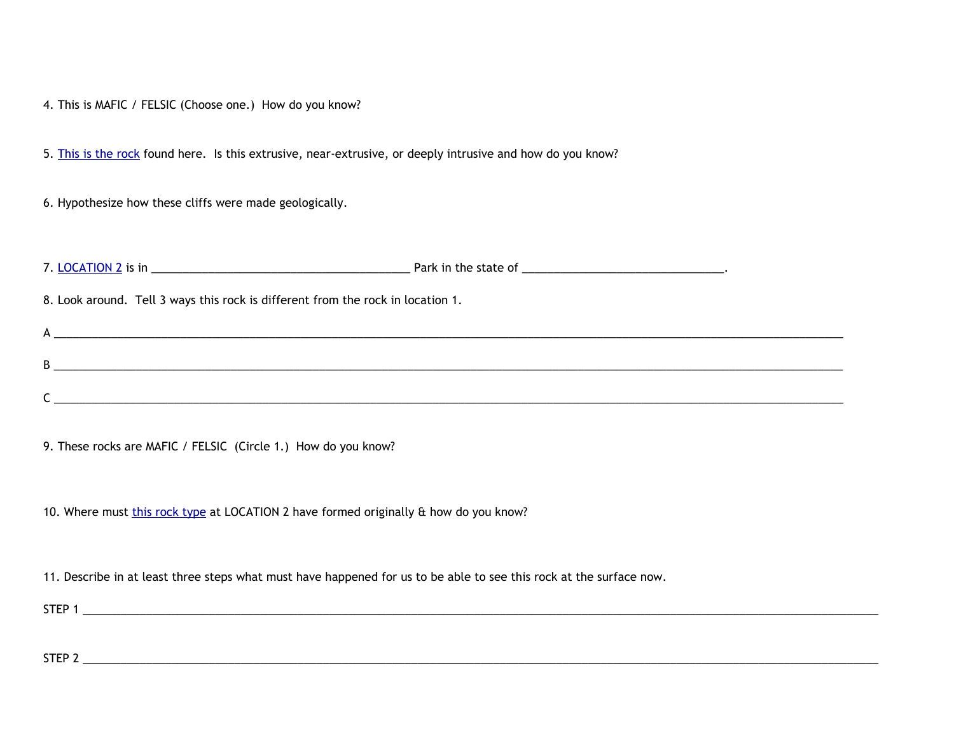4. This is MAFIC / FELSIC (Choose one.) How do you know?

5. [T](https://en.wikipedia.org/wiki/Diabase#/media/File:Polished_Diabase.jpg)his is the [rock](https://en.wikipedia.org/wiki/Diabase#/media/File:Polished_Diabase.jpg) found here. Is this extrusive, near-extrusive, or deeply intrusive and how do you know?

6. Hypothesize how these cliffs were made geologically.

7. [LOCATION](https://www.google.com/maps/place/Half+Dome+Village/@37.7547402,-119.5971772,1014a,35y,87.47h,76.05t/data=!3m1!1e3!4m5!3m4!1s0x8096f2397c97faa1:0x53d755186bcea4df!8m2!3d37.738879!4d-119.572295) 2 is in \_\_\_\_\_\_\_\_\_\_\_\_\_\_\_\_\_\_\_\_\_\_\_\_\_\_\_\_\_\_\_\_\_\_\_\_\_\_\_\_\_ Park in the state of \_\_\_\_\_\_\_\_\_\_\_\_\_\_\_\_\_\_\_\_\_\_\_\_\_\_\_\_\_\_\_\_. 8. Look around. Tell 3 ways this rock is different from the rock in location 1.  $A \overline{a}$ B \_\_\_\_\_\_\_\_\_\_\_\_\_\_\_\_\_\_\_\_\_\_\_\_\_\_\_\_\_\_\_\_\_\_\_\_\_\_\_\_\_\_\_\_\_\_\_\_\_\_\_\_\_\_\_\_\_\_\_\_\_\_\_\_\_\_\_\_\_\_\_\_\_\_\_\_\_\_\_\_\_\_\_\_\_\_\_\_\_\_\_\_\_\_\_\_\_\_\_\_\_\_\_\_\_\_\_\_\_\_\_\_\_\_\_\_\_\_\_\_\_\_\_\_\_  $\mathsf{C}$  , and the contract of the contract of the contract of the contract of the contract of the contract of the contract of the contract of the contract of the contract of the contract of the contract of the contract o

9. These rocks are MAFIC / FELSIC (Circle 1.) How do you know?

10. Where mus[t](https://upload.wikimedia.org/wikipedia/commons/thumb/9/9f/Half_dome_granodiorite.jpg/310px-Half_dome_granodiorite.jpg) this rock [type](https://upload.wikimedia.org/wikipedia/commons/thumb/9/9f/Half_dome_granodiorite.jpg/310px-Half_dome_granodiorite.jpg) at LOCATION 2 have formed originally & how do you know?

11. Describe in at least three steps what must have happened for us to be able to see this rock at the surface now.

STEP 1  $\Box$ 

STEP 2  $\Box$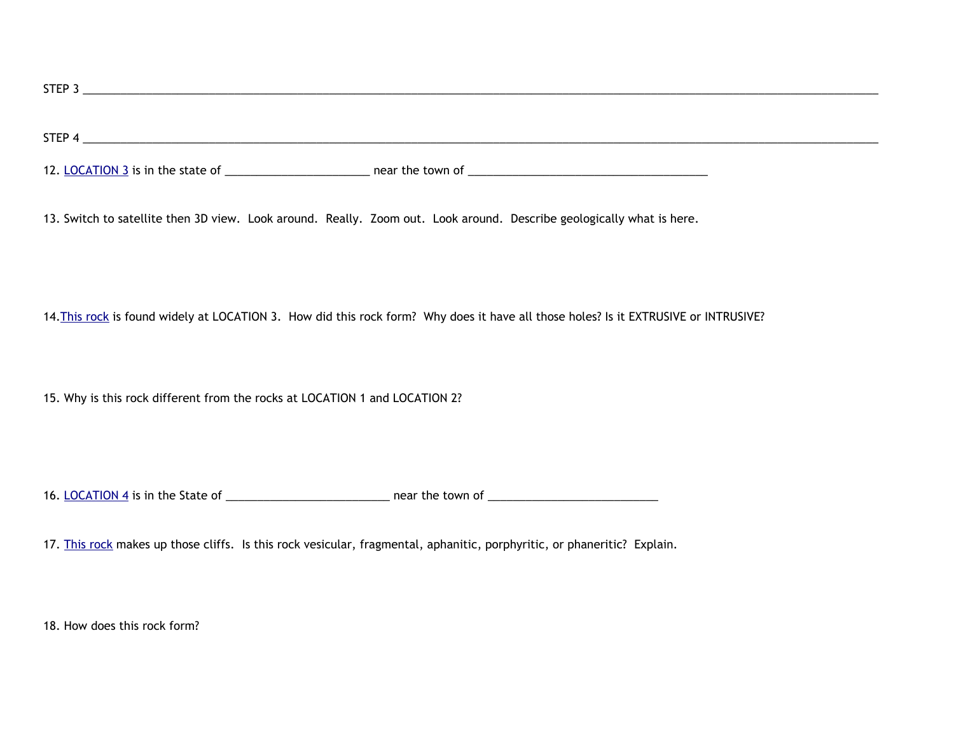$\textsf{STEP 4} \_\_$ 12[.](https://www.google.com/maps/@35.3977029,-111.397975,15.95z) [LOCATION](https://www.google.com/maps/@35.3977029,-111.397975,15.95z) 3 is in the state of \_\_\_\_\_\_\_\_\_\_\_\_\_\_\_\_\_\_\_\_\_\_\_ near the town of \_\_\_\_\_\_\_\_\_\_\_\_\_\_\_\_\_\_\_\_\_\_\_\_\_\_\_\_\_\_\_\_\_\_\_\_\_\_

 $\tt{STEP 3} \_{} \_{} \_{} \_{}$ 

13. Switch to satellite then 3D view. Look around. Really. Zoom out. Look around. Describe geologically what is here.

14. This [rock](https://geology.com/rocks/pictures/scoria.jpg) is found widely at LOCATION 3. How did this rock form? Why does it have all those holes? Is it EXTRUSIVE or INTRUSIVE?

15. Why is this rock different from the rocks at LOCATION 1 and LOCATION 2?

16[.](https://www.google.com/maps/@35.8691956,-106.2529298,49a,35y,7.31h,78t/data=!3m1!1e3) [LOCATION](https://www.google.com/maps/@35.8691956,-106.2529298,49a,35y,7.31h,78t/data=!3m1!1e3) 4 is in the State of \_\_\_\_\_\_\_\_\_\_\_\_\_\_\_\_\_\_\_\_\_\_\_\_\_\_ near the town of \_\_\_\_\_\_\_\_\_\_\_\_\_\_\_\_\_\_\_\_\_\_\_\_\_\_\_

17[.](https://upload.wikimedia.org/wikipedia/commons/3/34/Bandelier_National_Monument_in_September_2011_-_tuff_closeup.JPG) This [rock](https://upload.wikimedia.org/wikipedia/commons/3/34/Bandelier_National_Monument_in_September_2011_-_tuff_closeup.JPG) makes up those cliffs. Is this rock vesicular, fragmental, aphanitic, porphyritic, or phaneritic? Explain.

18. How does this rock form?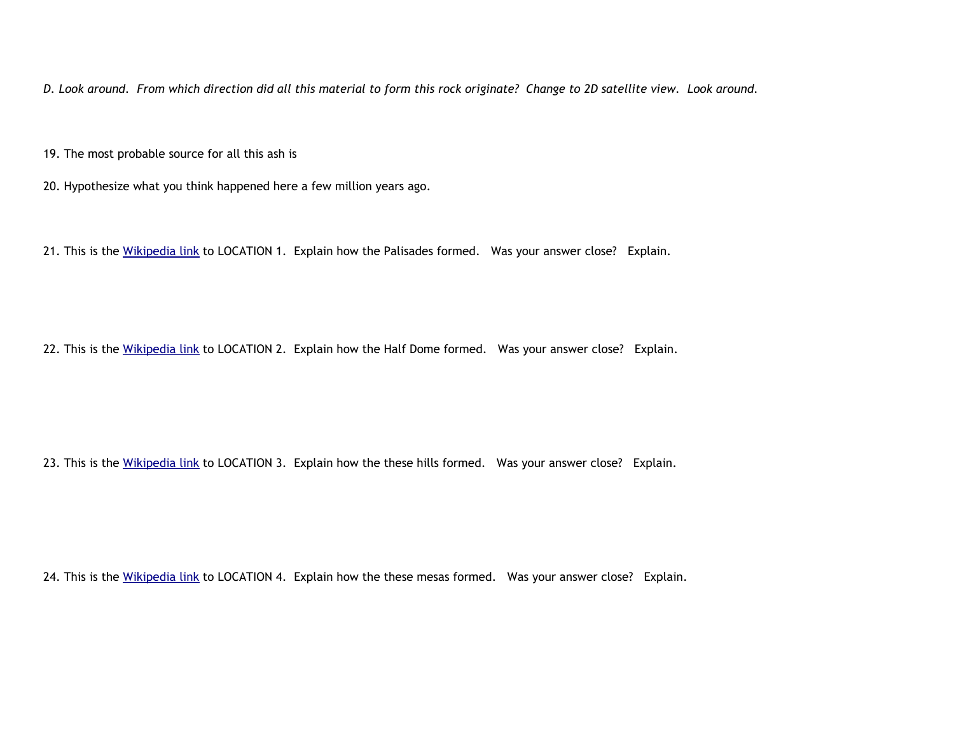D. Look around. From which direction did all this material to form this rock originate? Change to 2D satellite view. Look around.

19. The most probable source for all this ash is

20. Hypothesize what you think happened here a few million years ago.

21. This is th[e](https://en.wikipedia.org/wiki/The_Palisades_(Hudson_River)#Geology) [Wikipedia](https://en.wikipedia.org/wiki/The_Palisades_(Hudson_River)#Geology) link to LOCATION 1. Explain how the Palisades formed. Was your answer close? Explain.

22. This is th[e](https://en.wikipedia.org/wiki/Yosemite_National_Park#Geology) [Wikipedia](https://en.wikipedia.org/wiki/Yosemite_National_Park#Geology) link to LOCATION 2. Explain how the Half Dome formed. Was your answer close? Explain.

23. This is th[e](https://en.wikipedia.org/wiki/Sunset_Crater) [Wikipedia](https://en.wikipedia.org/wiki/Sunset_Crater) link to LOCATION 3. Explain how the these hills formed. Was your answer close? Explain.

24. This is th[e](https://en.wikipedia.org/wiki/Tuff) [Wikipedia](https://en.wikipedia.org/wiki/Tuff) link to LOCATION 4. Explain how the these mesas formed. Was your answer close? Explain.